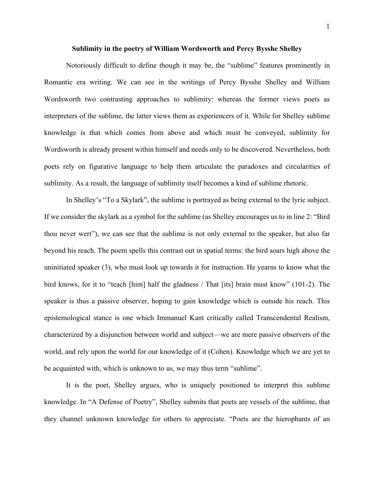## **Sublimity in the poetry of William Wordsworth and Percy Bysshe Shelley**

Notoriously difficult to define though it may be, the "sublime" features prominently in Romantic era writing. We can see in the writings of Percy Bysshe Shelley and William Wordsworth two contrasting approaches to sublimity: whereas the former views poets as interpreters of the sublime, the latter views them as experiencers of it. While for Shelley sublime knowledge is that which comes from above and which must be conveyed, sublimity for Wordsworth is already present within himself and needs only to be discovered. Nevertheless, both poets rely on figurative language to help them articulate the paradoxes and circularities of sublimity. As a result, the language of sublimity itself becomes a kind of sublime rhetoric.

In Shelley's "To a Skylark", the sublime is portrayed as being external to the lyric subject. If we consider the skylark as a symbol for the sublime (as Shelley encourages us to in line 2: "Bird thou never wert"), we can see that the sublime is not only external to the speaker, but also far beyond his reach. The poem spells this contrast out in spatial terms: the bird soars high above the uninitiated speaker (3), who must look up towards it for instruction. He yearns to know what the bird knows, for it to "teach [him] half the gladness / That [its] brain must know" (101-2). The speaker is thus a passive observer, hoping to gain knowledge which is outside his reach. This epistemological stance is one which Immanuel Kant critically called Transcendental Realism, characterized by a disjunction between world and subject—we are mere passive observers of the world, and rely upon the world for our knowledge of it (Cohen). Knowledge which we are yet to be acquainted with, which is unknown to us, we may thus term "sublime".

It is the poet, Shelley argues, who is uniquely positioned to interpret this sublime knowledge. In "A Defense of Poetry", Shelley submits that poets are vessels of the sublime, that they channel unknown knowledge for others to appreciate. "Poets are the hierophants of an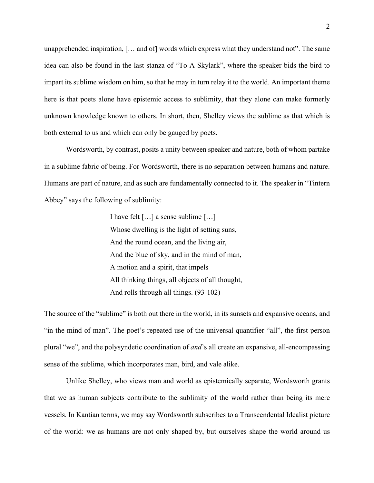unapprehended inspiration, [… and of] words which express what they understand not". The same idea can also be found in the last stanza of "To A Skylark", where the speaker bids the bird to impart its sublime wisdom on him, so that he may in turn relay it to the world. An important theme here is that poets alone have epistemic access to sublimity, that they alone can make formerly unknown knowledge known to others. In short, then, Shelley views the sublime as that which is both external to us and which can only be gauged by poets.

Wordsworth, by contrast, posits a unity between speaker and nature, both of whom partake in a sublime fabric of being. For Wordsworth, there is no separation between humans and nature. Humans are part of nature, and as such are fundamentally connected to it. The speaker in "Tintern Abbey" says the following of sublimity:

> I have felt […] a sense sublime […] Whose dwelling is the light of setting suns, And the round ocean, and the living air, And the blue of sky, and in the mind of man, A motion and a spirit, that impels All thinking things, all objects of all thought, And rolls through all things. (93-102)

The source of the "sublime" is both out there in the world, in its sunsets and expansive oceans, and "in the mind of man". The poet's repeated use of the universal quantifier "all", the first-person plural "we", and the polysyndetic coordination of *and*'s all create an expansive, all-encompassing sense of the sublime, which incorporates man, bird, and vale alike.

Unlike Shelley, who views man and world as epistemically separate, Wordsworth grants that we as human subjects contribute to the sublimity of the world rather than being its mere vessels. In Kantian terms, we may say Wordsworth subscribes to a Transcendental Idealist picture of the world: we as humans are not only shaped by, but ourselves shape the world around us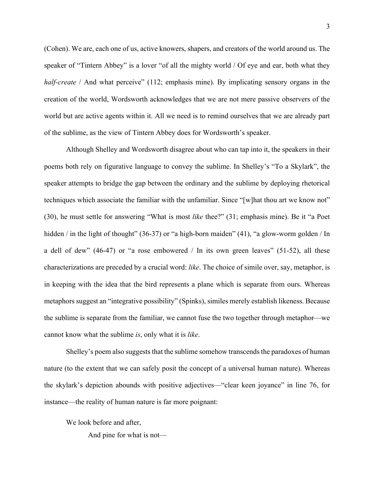(Cohen). We are, each one of us, active knowers, shapers, and creators of the world around us. The speaker of "Tintern Abbey" is a lover "of all the mighty world / Of eye and ear, both what they *half-create* / And what perceive" (112; emphasis mine). By implicating sensory organs in the creation of the world, Wordsworth acknowledges that we are not mere passive observers of the world but are active agents within it. All we need is to remind ourselves that we are already part of the sublime, as the view of Tintern Abbey does for Wordsworth's speaker.

Although Shelley and Wordsworth disagree about who can tap into it, the speakers in their poems both rely on figurative language to convey the sublime. In Shelley's "To a Skylark", the speaker attempts to bridge the gap between the ordinary and the sublime by deploying rhetorical techniques which associate the familiar with the unfamiliar. Since "[w]hat thou art we know not" (30), he must settle for answering "What is most *like* thee?" (31; emphasis mine). Be it "a Poet hidden / in the light of thought" (36-37) or "a high-born maiden" (41), "a glow-worm golden / In a dell of dew" (46-47) or "a rose embowered / In its own green leaves" (51-52), all these characterizations are preceded by a crucial word: *like*. The choice of simile over, say, metaphor, is in keeping with the idea that the bird represents a plane which is separate from ours. Whereas metaphors suggest an "integrative possibility" (Spinks), similes merely establish likeness. Because the sublime is separate from the familiar, we cannot fuse the two together through metaphor—we cannot know what the sublime *is*, only what it is *like*.

Shelley's poem also suggests that the sublime somehow transcends the paradoxes of human nature (to the extent that we can safely posit the concept of a universal human nature). Whereas the skylark's depiction abounds with positive adjectives—"clear keen joyance" in line 76, for instance—the reality of human nature is far more poignant:

We look before and after,

And pine for what is not—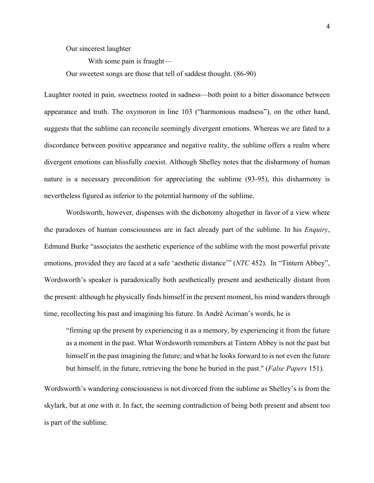## Our sincerest laughter

With some pain is fraught—

Our sweetest songs are those that tell of saddest thought. (86-90)

Laughter rooted in pain, sweetness rooted in sadness—both point to a bitter dissonance between appearance and truth. The oxymoron in line 103 ("harmonious madness"), on the other hand, suggests that the sublime can reconcile seemingly divergent emotions. Whereas we are fated to a discordance between positive appearance and negative reality, the sublime offers a realm where divergent emotions can blissfully coexist. Although Shelley notes that the disharmony of human nature is a necessary precondition for appreciating the sublime (93-95), this disharmony is nevertheless figured as inferior to the potential harmony of the sublime.

Wordsworth, however, dispenses with the dichotomy altogether in favor of a view where the paradoxes of human consciousness are in fact already part of the sublime. In his *Enquiry*, Edmund Burke "associates the aesthetic experience of the sublime with the most powerful private emotions, provided they are faced at a safe 'aesthetic distance'" (*NTC* 452). In "Tintern Abbey", Wordsworth's speaker is paradoxically both aesthetically present and aesthetically distant from the present: although he physically finds himself in the present moment, his mind wanders through time, recollecting his past and imagining his future. In André Aciman's words, he is

"firming up the present by experiencing it as a memory, by experiencing it from the future as a moment in the past. What Wordsworth remembers at Tintern Abbey is not the past but himself in the past imagining the future; and what he looks forward to is not even the future but himself, in the future, retrieving the bone he buried in the past." (*False Papers* 151).

Wordsworth's wandering consciousness is not divorced from the sublime as Shelley's is from the skylark, but at one with it. In fact, the seeming contradiction of being both present and absent too is part of the sublime.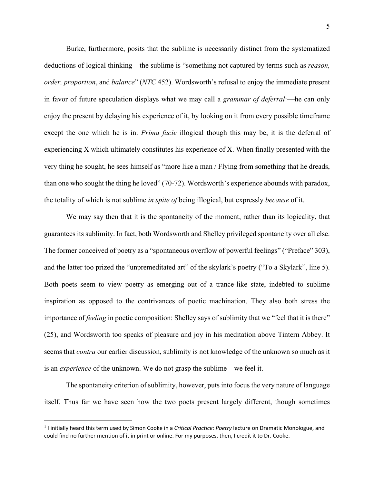Burke, furthermore, posits that the sublime is necessarily distinct from the systematized deductions of logical thinking—the sublime is "something not captured by terms such as *reason, order, proportion*, and *balance*" (*NTC* 452). Wordsworth's refusal to enjoy the immediate present in favor of future speculation displays what we may call a *grammar of deferral*1—he can only enjoy the present by delaying his experience of it, by looking on it from every possible timeframe except the one which he is in. *Prima facie* illogical though this may be, it is the deferral of experiencing X which ultimately constitutes his experience of X. When finally presented with the very thing he sought, he sees himself as "more like a man / Flying from something that he dreads, than one who sought the thing he loved" (70-72). Wordsworth's experience abounds with paradox, the totality of which is not sublime *in spite of* being illogical, but expressly *because* of it.

We may say then that it is the spontaneity of the moment, rather than its logicality, that guarantees its sublimity. In fact, both Wordsworth and Shelley privileged spontaneity over all else. The former conceived of poetry as a "spontaneous overflow of powerful feelings" ("Preface" 303), and the latter too prized the "unpremeditated art" of the skylark's poetry ("To a Skylark", line 5). Both poets seem to view poetry as emerging out of a trance-like state, indebted to sublime inspiration as opposed to the contrivances of poetic machination. They also both stress the importance of *feeling* in poetic composition: Shelley says of sublimity that we "feel that it is there" (25), and Wordsworth too speaks of pleasure and joy in his meditation above Tintern Abbey. It seems that *contra* our earlier discussion, sublimity is not knowledge of the unknown so much as it is an *experience* of the unknown. We do not grasp the sublime—we feel it.

The spontaneity criterion of sublimity, however, puts into focus the very nature of language itself. Thus far we have seen how the two poets present largely different, though sometimes

 <sup>1</sup> I initially heard this term used by Simon Cooke in a *Critical Practice: Poetry* lecture on Dramatic Monologue, and could find no further mention of it in print or online. For my purposes, then, I credit it to Dr. Cooke.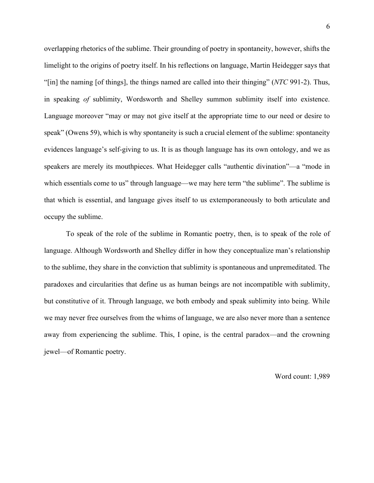overlapping rhetorics of the sublime. Their grounding of poetry in spontaneity, however, shifts the limelight to the origins of poetry itself. In his reflections on language, Martin Heidegger says that "[in] the naming [of things], the things named are called into their thinging" (*NTC* 991-2). Thus, in speaking *of* sublimity, Wordsworth and Shelley summon sublimity itself into existence. Language moreover "may or may not give itself at the appropriate time to our need or desire to speak" (Owens 59), which is why spontaneity is such a crucial element of the sublime: spontaneity evidences language's self-giving to us. It is as though language has its own ontology, and we as speakers are merely its mouthpieces. What Heidegger calls "authentic divination"—a "mode in which essentials come to us" through language—we may here term "the sublime". The sublime is that which is essential, and language gives itself to us extemporaneously to both articulate and occupy the sublime.

To speak of the role of the sublime in Romantic poetry, then, is to speak of the role of language. Although Wordsworth and Shelley differ in how they conceptualize man's relationship to the sublime, they share in the conviction that sublimity is spontaneous and unpremeditated. The paradoxes and circularities that define us as human beings are not incompatible with sublimity, but constitutive of it. Through language, we both embody and speak sublimity into being. While we may never free ourselves from the whims of language, we are also never more than a sentence away from experiencing the sublime. This, I opine, is the central paradox—and the crowning jewel—of Romantic poetry.

Word count: 1,989